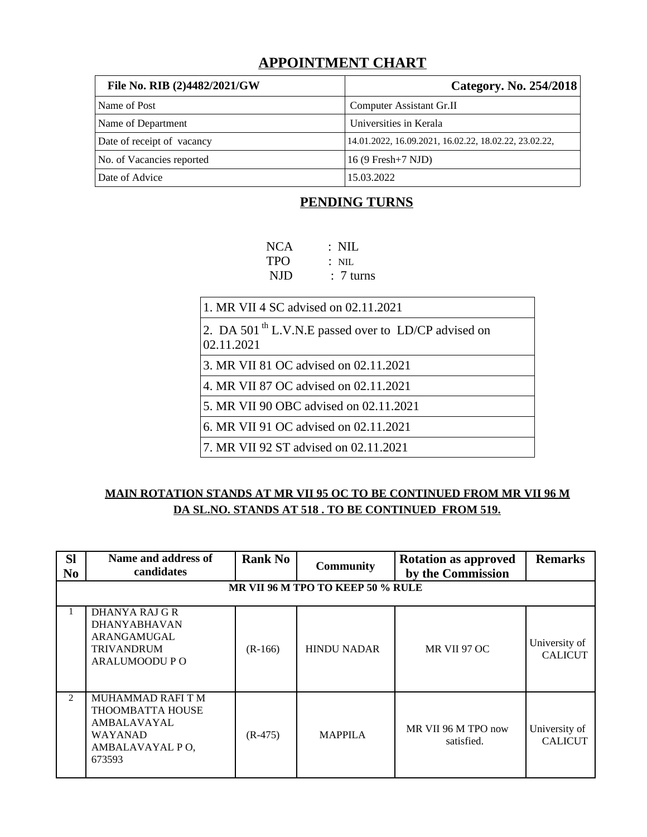# **APPOINTMENT CHART**

| File No. RIB (2)4482/2021/GW | Category. No. 254/2018                                |
|------------------------------|-------------------------------------------------------|
| Name of Post                 | Computer Assistant Gr.II                              |
| Name of Department           | Universities in Kerala                                |
| Date of receipt of vacancy   | 14.01.2022, 16.09.2021, 16.02.22, 18.02.22, 23.02.22, |
| No. of Vacancies reported    | 16 (9 Fresh+7 NJD)                                    |
| Date of Advice               | 15.03.2022                                            |

# **PENDING TURNS**

| <b>NCA</b> | $\therefore$ NIL     |
|------------|----------------------|
| <b>TPO</b> | $:$ NIL              |
| NJD        | $\therefore$ 7 turns |
|            |                      |

1. MR VII 4 SC advised on 02.11.2021

2. DA 501<sup>th</sup> L.V.N.E passed over to LD/CP advised on 02.11.2021

3. MR VII 81 OC advised on 02.11.2021

4. MR VII 87 OC advised on 02.11.2021

5. MR VII 90 OBC advised on 02.11.2021

6. MR VII 91 OC advised on 02.11.2021

7. MR VII 92 ST advised on 02.11.2021

## **MAIN ROTATION STANDS AT MR VII 95 OC TO BE CONTINUED FROM MR VII 96 M DA SL.NO. STANDS AT 518 . TO BE CONTINUED FROM 519.**

| <b>SI</b><br>N <sub>0</sub> | Name and address of<br>candidates                                                                   | <b>Rank No</b> | <b>Community</b>                  | <b>Rotation as approved</b><br>by the Commission | <b>Remarks</b>                  |
|-----------------------------|-----------------------------------------------------------------------------------------------------|----------------|-----------------------------------|--------------------------------------------------|---------------------------------|
|                             |                                                                                                     |                | MR VII 96 M TPO TO KEEP 50 % RULE |                                                  |                                 |
|                             | DHANYA RAJ G R<br><b>DHANYABHAVAN</b><br>ARANGAMUGAL<br><b>TRIVANDRUM</b><br>ARALUMOODU P O         | $(R-166)$      | <b>HINDU NADAR</b>                | MR VII 97 OC                                     | University of<br><b>CALICUT</b> |
| $\mathcal{P}$               | MUHAMMAD RAFI T M<br><b>THOOMBATTA HOUSE</b><br>AMBALAVAYAL<br>WAYANAD<br>AMBALAVAYAL PO,<br>673593 | $(R-475)$      | <b>MAPPILA</b>                    | MR VII 96 M TPO now<br>satisfied.                | University of<br><b>CALICUT</b> |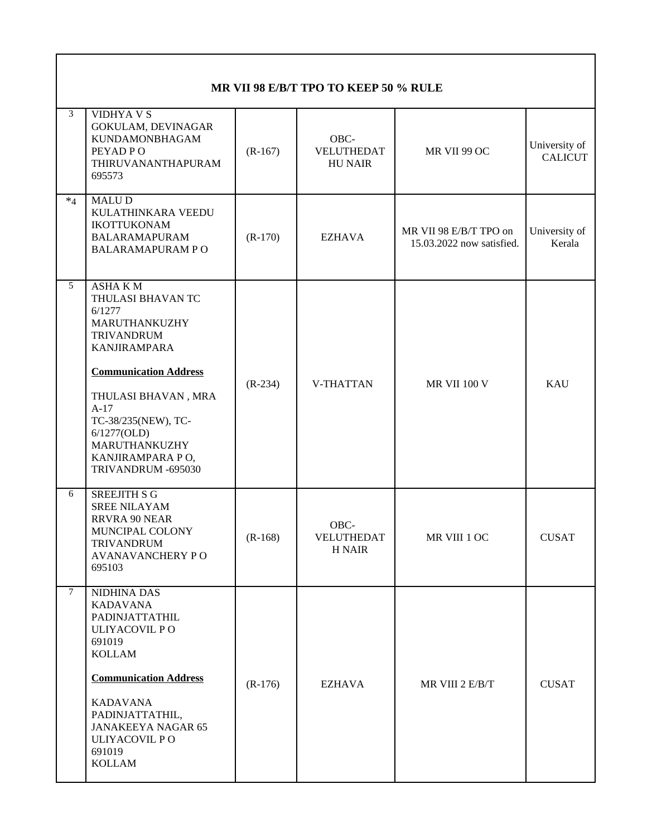| MR VII 98 E/B/T TPO TO KEEP 50 % RULE |                                                                                                                                                                |           |                                                               |                     |                                 |  |
|---------------------------------------|----------------------------------------------------------------------------------------------------------------------------------------------------------------|-----------|---------------------------------------------------------------|---------------------|---------------------------------|--|
| 3                                     | <b>VIDHYA V S</b><br>GOKULAM, DEVINAGAR<br><b>KUNDAMONBHAGAM</b><br>PEYAD PO<br>THIRUVANANTHAPURAM<br>695573                                                   | $(R-167)$ | OBC-<br>VELUTHEDAT<br>MR VII 99 OC<br><b>HU NAIR</b>          |                     | University of<br><b>CALICUT</b> |  |
| $*_4$                                 | MALU D<br>KULATHINKARA VEEDU<br><b>IKOTTUKONAM</b><br><b>BALARAMAPURAM</b><br><b>BALARAMAPURAM PO</b>                                                          | $(R-170)$ | MR VII 98 E/B/T TPO on<br>EZHAVA<br>15.03.2022 now satisfied. |                     | University of<br>Kerala         |  |
| 5                                     | <b>ASHAKM</b><br>THULASI BHAVAN TC<br>6/1277<br>MARUTHANKUZHY<br><b>TRIVANDRUM</b><br><b>KANJIRAMPARA</b>                                                      |           |                                                               |                     |                                 |  |
|                                       | <b>Communication Address</b><br>THULASI BHAVAN, MRA<br>$A-17$<br>TC-38/235(NEW), TC-<br>6/1277(OLD)<br>MARUTHANKUZHY<br>KANJIRAMPARA PO,<br>TRIVANDRUM -695030 | $(R-234)$ | V-THATTAN                                                     | <b>MR VII 100 V</b> | <b>KAU</b>                      |  |
| 6                                     | <b>SREEJITH S G</b><br><b>SREE NILAYAM</b><br>RRVRA 90 NEAR<br>MUNCIPAL COLONY<br>TRIVANDRUM<br>AVANAVANCHERY PO<br>695103                                     | $(R-168)$ | OBC-<br>VELUTHEDAT<br>H NAIR                                  | MR VIII 1 OC        | <b>CUSAT</b>                    |  |
| $\overline{7}$                        | NIDHINA DAS<br><b>KADAVANA</b><br>PADINJATTATHIL<br>ULIYACOVIL PO<br>691019<br><b>KOLLAM</b>                                                                   |           |                                                               |                     |                                 |  |
|                                       | <b>Communication Address</b><br><b>KADAVANA</b><br>PADINJATTATHIL,<br>JANAKEEYA NAGAR 65<br>ULIYACOVIL PO<br>691019<br><b>KOLLAM</b>                           | $(R-176)$ | EZHAVA                                                        | MR VIII 2 E/B/T     | <b>CUSAT</b>                    |  |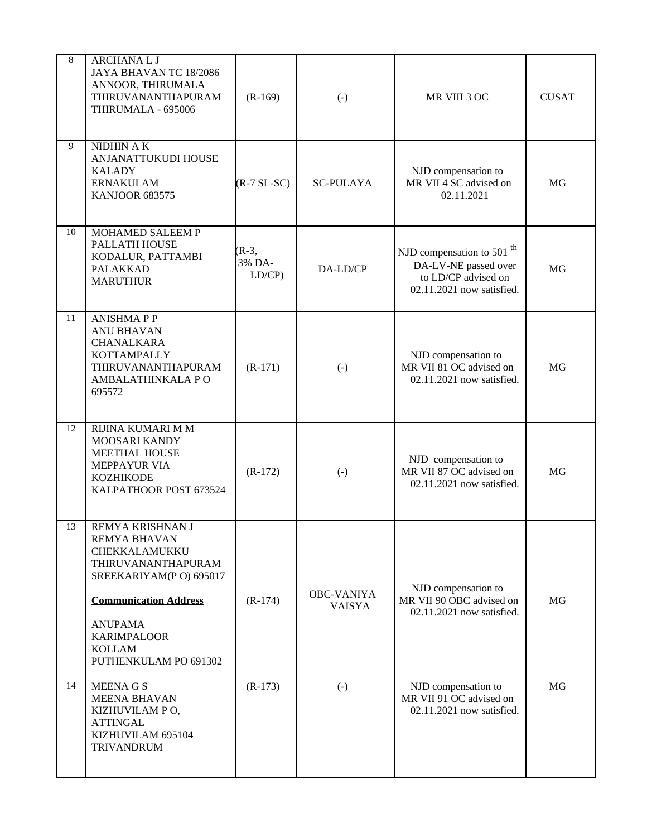| 8  | <b>ARCHANAL J</b><br>JAYA BHAVAN TC 18/2086<br>ANNOOR, THIRUMALA<br>THIRUVANANTHAPURAM<br>THIRUMALA - 695006                                                                                                                | $(R-169)$                  | $\left( -\right)$                  | MR VIII 3 OC                                                                                                      | <b>CUSAT</b> |
|----|-----------------------------------------------------------------------------------------------------------------------------------------------------------------------------------------------------------------------------|----------------------------|------------------------------------|-------------------------------------------------------------------------------------------------------------------|--------------|
| 9  | NIDHIN A K<br>ANJANATTUKUDI HOUSE<br><b>KALADY</b><br><b>ERNAKULAM</b><br><b>KANJOOR 683575</b>                                                                                                                             | $(R-7 SL-SC)$              | <b>SC-PULAYA</b>                   | NJD compensation to<br>MR VII 4 SC advised on<br>02.11.2021                                                       | MG           |
| 10 | MOHAMED SALEEM P<br>PALLATH HOUSE<br>KODALUR, PATTAMBI<br><b>PALAKKAD</b><br><b>MARUTHUR</b>                                                                                                                                | $(R-3,$<br>3% DA-<br>LD/CP | DA-LD/CP                           | NJD compensation to 501 <sup>th</sup><br>DA-LV-NE passed over<br>to LD/CP advised on<br>02.11.2021 now satisfied. | MG           |
| 11 | <b>ANISHMAPP</b><br><b>ANU BHAVAN</b><br>CHANALKARA<br>KOTTAMPALLY<br>THIRUVANANTHAPURAM<br>AMBALATHINKALA PO<br>695572                                                                                                     | $(R-171)$                  | $\left( -\right)$                  | NJD compensation to<br>MR VII 81 OC advised on<br>02.11.2021 now satisfied.                                       | MG           |
| 12 | RIJINA KUMARI M M<br>MOOSARI KANDY<br>MEETHAL HOUSE<br><b>MEPPAYUR VIA</b><br><b>KOZHIKODE</b><br>KALPATHOOR POST 673524                                                                                                    | $(R-172)$                  | $\left( -\right)$                  | NJD compensation to<br>MR VII 87 OC advised on<br>02.11.2021 now satisfied.                                       | MG           |
| 13 | REMYA KRISHNAN J<br><b>REMYA BHAVAN</b><br>CHEKKALAMUKKU<br>THIRUVANANTHAPURAM<br>SREEKARIYAM(P O) 695017<br><b>Communication Address</b><br><b>ANUPAMA</b><br><b>KARIMPALOOR</b><br><b>KOLLAM</b><br>PUTHENKULAM PO 691302 | $(R-174)$                  | <b>OBC-VANIYA</b><br><b>VAISYA</b> | NJD compensation to<br>MR VII 90 OBC advised on<br>02.11.2021 now satisfied.                                      | MG           |
| 14 | <b>MEENA G S</b><br><b>MEENA BHAVAN</b><br>KIZHUVILAM PO,<br><b>ATTINGAL</b><br>KIZHUVILAM 695104<br><b>TRIVANDRUM</b>                                                                                                      | $(R-173)$                  | $\left( -\right)$                  | NJD compensation to<br>MR VII 91 OC advised on<br>02.11.2021 now satisfied.                                       | MG           |